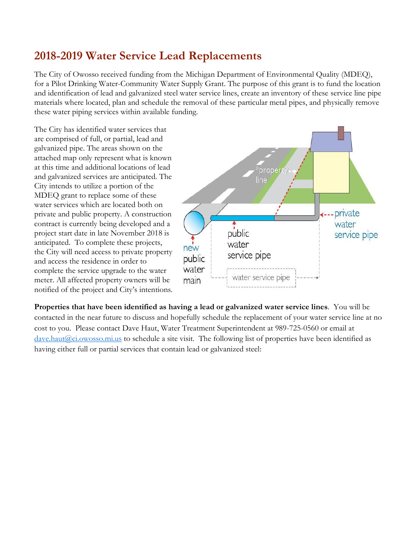## **2018-2019 Water Service Lead Replacements**

The City of Owosso received funding from the Michigan Department of Environmental Quality (MDEQ), for a Pilot Drinking Water-Community Water Supply Grant. The purpose of this grant is to fund the location and identification of lead and galvanized steel water service lines, create an inventory of these service line pipe materials where located, plan and schedule the removal of these particular metal pipes, and physically remove these water piping services within available funding.

The City has identified water services that are comprised of full, or partial, lead and galvanized pipe. The areas shown on the attached map only represent what is known at this time and additional locations of lead and galvanized services are anticipated. The City intends to utilize a portion of the MDEQ grant to replace some of these water services which are located both on private and public property. A construction contract is currently being developed and a project start date in late November 2018 is anticipated. To complete these projects, the City will need access to private property and access the residence in order to complete the service upgrade to the water meter. All affected property owners will be notified of the project and City's intentions.



**Properties that have been identified as having a lead or galvanized water service lines**. You will be contacted in the near future to discuss and hopefully schedule the replacement of your water service line at no cost to you. Please contact Dave Haut, Water Treatment Superintendent at 989-725-0560 or email at [dave.haut@ci.owosso.mi.us](mailto:dave.haut@ci.owosso.mi.us) to schedule a site visit. The following list of properties have been identified as having either full or partial services that contain lead or galvanized steel: